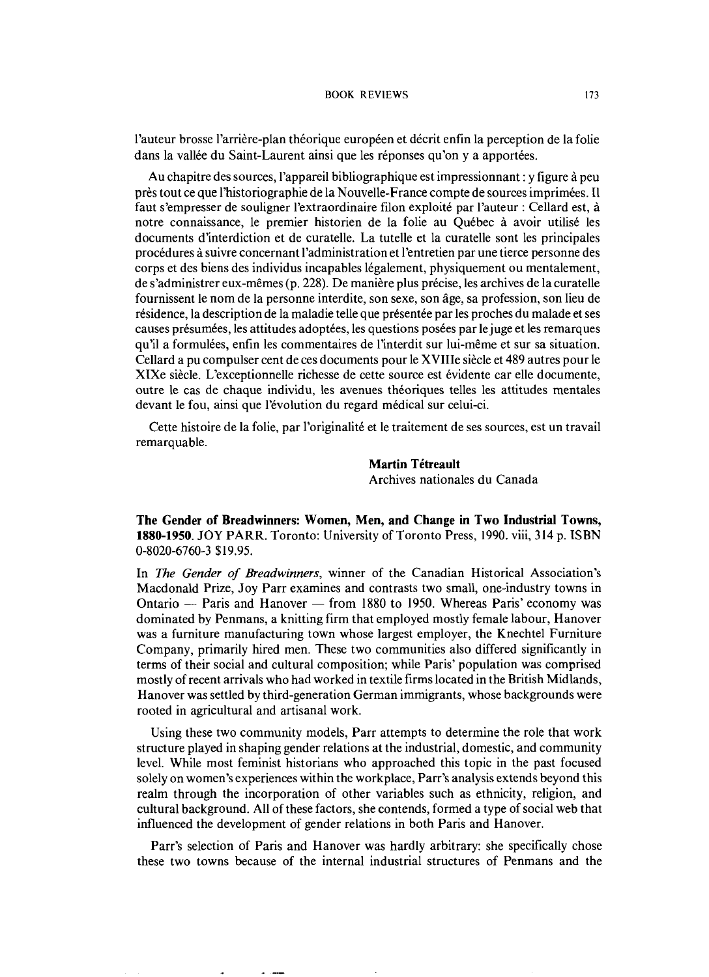l'auteur brosse l'arrière-plan théorique européen et décrit enfin la perception de la folie dans la vallée du Saint-Laurent ainsi que les réponses qu'on y a apportées.

Au chapitre des sources, I'appareil bibliographique est impressionnant : y figure a peu près tout ce que l'historiographie de la Nouvelle-France compte de sources imprimées. Il faut s'empresser de souligner l'extraordinaire filon exploité par l'auteur : Cellard est, à notre connaissance, le premier historien de la folie au Québec à avoir utilisé les documents d'interdiction et de curatelle. La tutelle et la curatelle sont les principales procédures à suivre concernant l'administration et l'entretien par une tierce personne des corps et des biens des individus incapables légalement, physiquement ou mentalement, de s'administrer eux-mêmes (p. 228). De manière plus précise, les archives de la curatelle fournissent le nom de la personne interdite, son sexe, son fige, sa profession, son lieu de résidence, la description de la maladie telle que présentée par les proches du malade et ses causes présumées, les attitudes adoptées, les questions posées par le juge et les remarques qu'il a formulées, enfin les commentaires de l'interdit sur lui-même et sur sa situation. Cellard a pu compulser cent de ces documents pour le XVIIIe siècle et 489 autres pour le XIXe siècle. L'exceptionnelle richesse de cette source est évidente car elle documente, outre le cas de chaque individu, les avenues theoriques telles les attitudes mentales devant le fou, ainsi que l'évolution du regard médical sur celui-ci.

Cette histoire de la folie, par l'originalité et le traitement de ses sources, est un travail remarquable.

> **Martin Tétreault** Archives nationales du Canada

**The Gender of Breadwinners: Women, Men, and Change in Two Industrial Towns, 1880-1950.** JOY PARR. Toronto: University of Toronto Press, 1990. viii, 314 p. ISBN 0-8020-6760-3 \$19.95.

In *me Gender* of *Breadwinners,* winner of the Canadian Historical Association's In *The Gender of Breadwinners*, whilet of the Canadian Historical Association's<br>Macdonald Prize, Joy Parr examines and contrasts two small, one-industry towns in<br>Ontario — Paris and Hanover — from 1880 to 1950. Whereas Pa dominated by Penmans, a knitting firm that employed mostly female labour, Hanover was a furniture manufacturing town whose largest employer, the Knechtel Furniture Company, primarily hired men. These two communities also differed significantly in terms of their social and cultural composition; while Paris' population was comprised mostly of recent arrivals who had worked in textile firms located in the British Midlands, Hanover was settled by third-generation German immigrants, whose backgrounds were rooted in agricultural and artisanal work.

Using these two community models, Parr attempts to determine the role that work structure played in shaping gender relations at the industrial, domestic, and community level. While most feminist historians who approached this topic in the past focused solely on women's experiences within the workplace, Parr's analysis extends beyond this realm through the incorporation of other variables such as ethnicity, religion, and cultural background. All of these factors, she contends, formed a type of social web that influenced the development of gender relations in both Paris and Hanover.

Parr's selection of Paris and Hanover was hardly arbitrary: she specifically chose these two towns because of the internal industrial structures of Penmans and the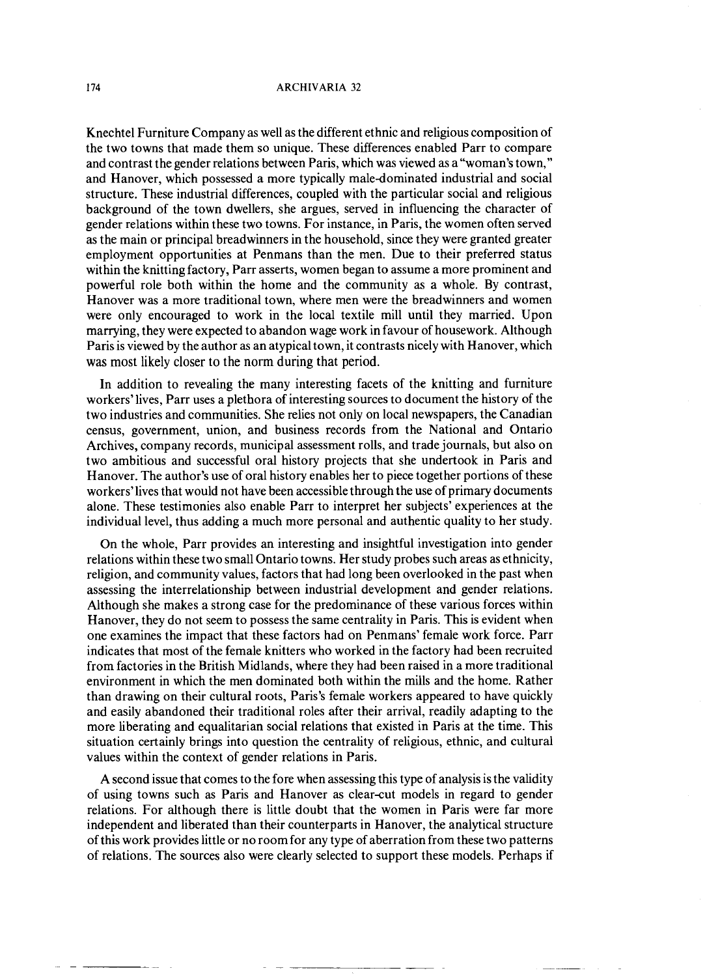## **174 ARCHIVARIA 32**

Knechtel Furniture Company as well as the different ethnic and religious composition of the two towns that made them so unique. These differences enabled Parr to compare and contrast the gender relations between Paris, which was viewed as a "woman's town," and Hanover, which possessed a more typically maledominated industrial and social structure. These industrial differences, coupled with the particular social and religious background of the town dwellers, she argues, served in influencing the character of gender relations within these two towns. For instance, in Paris, the women often served as the main or principal breadwinners in the household, since they were granted greater employment opportunities at Penmans than the men. Due to their preferred status within the knitting factory, Parr asserts, women began to assume a more prominent and powerful role both within the home and the community as a whole. By contrast, Hanover was a more traditional town, where men were the breadwinners and women were only encouraged to work in the local textile mill until they married. Upon marrying, they were expected to abandon wage work in favour of housework. Although Paris is viewed by the author as an atypical town, it contrasts nicely with Hanover, which **was** most likely closer to the norm during that period.

In addition to revealing the many interesting facets of the knitting and furniture workers'lives, Parr uses a plethora of interesting sources to document the history of the two industries and communities. She relies not only on local newspapers, the Canadian census, government, union, and business records from the National and Ontario Archives, company records, municipal assessment rolls, and trade journals, but also on two ambitious and successful oral history projects that she undertook in Paris and Hanover. The author's use of oral history enables her to piece together portions of these workers'lives that would not have been accessible through the use of primary documents alone. These testimonies also enable Parr to interpret her subjects' experiences at the individual level, thus adding a much more personal and authentic quality to her study.

On the whole, Parr provides an interesting and insightful investigation into gender relations within these two small Ontario towns. Her study probes such areas as ethnicity, religion, and community values, factors that had long been overlooked in the past when assessing the interrelationship between industrial development and gender relations. Although she makes a strong case for the predominance of these various forces within Hanover, they do not seem to possess the same centrality in Paris. This is evident when one examines the impact that these factors had on Penmans' female work force. Parr indicates that most of the female knitters who worked in the factory had been recruited from factories in the British Midlands, where they had been raised in a more traditional environment in which the men dominated both within the mills and the home. Rather than drawing on their cultural roots, Paris's female workers appeared to have quickly and easily abandoned their traditional roles after their arrival, readily adapting to the more liberating and equalitarian social relations that existed in Paris at the time. This situation certainly brings into question the centrality of religious, ethnic, and cultural values within the context of gender relations in Paris.

A second issue that comes to the fore when assessing this type of analysis is the validity of using towns such as Paris and Hanover as clear-cut models in regard to gender relations. For although there is little doubt that the women in Paris were far more independent and liberated than their counterparts in Hanover, the analytical structure of this work provides little or no room for any type of aberration from these two patterns of relations. The sources also were clearly selected to support these models. Perhaps if